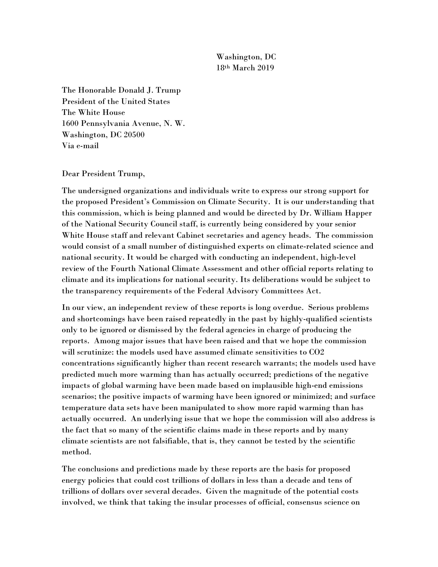Washington, DC 18th March 2019

The Honorable Donald J. Trump President of the United States The White House 1600 Pennsylvania Avenue, N. W. Washington, DC 20500 Via e-mail

Dear President Trump,

The undersigned organizations and individuals write to express our strong support for the proposed President's Commission on Climate Security. It is our understanding that this commission, which is being planned and would be directed by Dr. William Happer of the National Security Council staff, is currently being considered by your senior White House staff and relevant Cabinet secretaries and agency heads. The commission would consist of a small number of distinguished experts on climate-related science and national security. It would be charged with conducting an independent, high-level review of the Fourth National Climate Assessment and other official reports relating to climate and its implications for national security. Its deliberations would be subject to the transparency requirements of the Federal Advisory Committees Act.

In our view, an independent review of these reports is long overdue. Serious problems and shortcomings have been raised repeatedly in the past by highly-qualified scientists only to be ignored or dismissed by the federal agencies in charge of producing the reports. Among major issues that have been raised and that we hope the commission will scrutinize: the models used have assumed climate sensitivities to CO2 concentrations significantly higher than recent research warrants; the models used have predicted much more warming than has actually occurred; predictions of the negative impacts of global warming have been made based on implausible high-end emissions scenarios; the positive impacts of warming have been ignored or minimized; and surface temperature data sets have been manipulated to show more rapid warming than has actually occurred. An underlying issue that we hope the commission will also address is the fact that so many of the scientific claims made in these reports and by many climate scientists are not falsifiable, that is, they cannot be tested by the scientific method.

The conclusions and predictions made by these reports are the basis for proposed energy policies that could cost trillions of dollars in less than a decade and tens of trillions of dollars over several decades. Given the magnitude of the potential costs involved, we think that taking the insular processes of official, consensus science on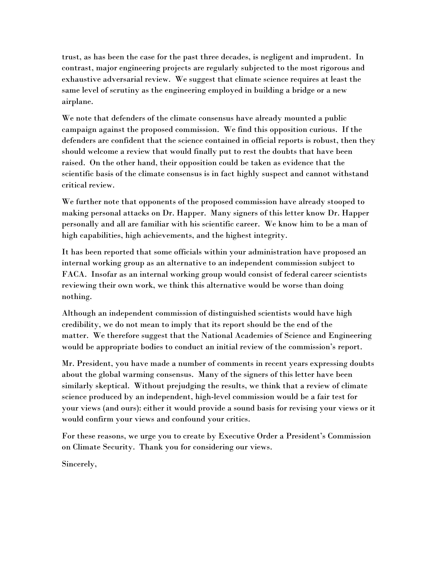trust, as has been the case for the past three decades, is negligent and imprudent. In contrast, major engineering projects are regularly subjected to the most rigorous and exhaustive adversarial review. We suggest that climate science requires at least the same level of scrutiny as the engineering employed in building a bridge or a new airplane.

We note that defenders of the climate consensus have already mounted a public campaign against the proposed commission. We find this opposition curious. If the defenders are confident that the science contained in official reports is robust, then they should welcome a review that would finally put to rest the doubts that have been raised. On the other hand, their opposition could be taken as evidence that the scientific basis of the climate consensus is in fact highly suspect and cannot withstand critical review.

We further note that opponents of the proposed commission have already stooped to making personal attacks on Dr. Happer. Many signers of this letter know Dr. Happer personally and all are familiar with his scientific career. We know him to be a man of high capabilities, high achievements, and the highest integrity.

It has been reported that some officials within your administration have proposed an internal working group as an alternative to an independent commission subject to FACA. Insofar as an internal working group would consist of federal career scientists reviewing their own work, we think this alternative would be worse than doing nothing.

Although an independent commission of distinguished scientists would have high credibility, we do not mean to imply that its report should be the end of the matter. We therefore suggest that the National Academies of Science and Engineering would be appropriate bodies to conduct an initial review of the commission's report.

Mr. President, you have made a number of comments in recent years expressing doubts about the global warming consensus. Many of the signers of this letter have been similarly skeptical. Without prejudging the results, we think that a review of climate science produced by an independent, high-level commission would be a fair test for your views (and ours): either it would provide a sound basis for revising your views or it would confirm your views and confound your critics.

For these reasons, we urge you to create by Executive Order a President's Commission on Climate Security. Thank you for considering our views.

Sincerely,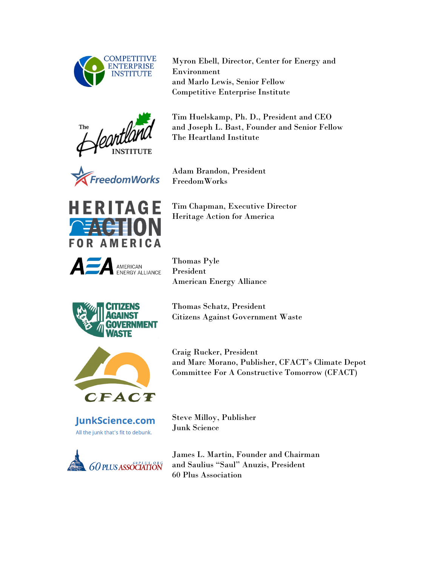

Myron Ebell, Director, Center for Energy and Environment and Marlo Lewis, Senior Fellow Competitive Enterprise Institute



Tim Huelskamp, Ph. D., President and CEO and Joseph L. Bast, Founder and Senior Fellow The Heartland Institute



Adam Brandon, President FreedomWorks



AMERICAN<br>ENERGY ALLIANCE

Tim Chapman, Executive Director Heritage Action for America

Thomas Pyle President American Energy Alliance





JunkScience.com All the junk that's fit to debunk.



Thomas Schatz, President Citizens Against Government Waste

Craig Rucker, President and Marc Morano, Publisher, CFACT's Climate Depot Committee For A Constructive Tomorrow (CFACT)

Steve Milloy, Publisher Junk Science

James L. Martin, Founder and Chairman and Saulius "Saul" Anuzis, President 60 Plus Association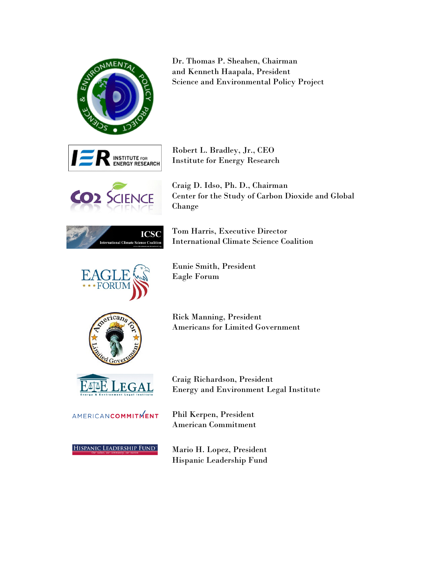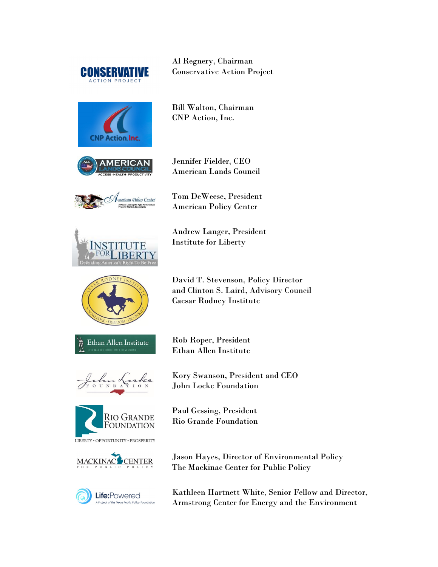

Al Regnery, Chairman Conservative Action Project



Bill Walton, Chairman CNP Action, Inc.





Jennifer Fielder, CEO American Lands Council

Tom DeWeese, President American Policy Center



Ethan Allen Institute

Andrew Langer, President Institute for Liberty

David T. Stevenson, Policy Director and Clinton S. Laird, Advisory Council Caesar Rodney Institute

Rob Roper, President Ethan Allen Institute

Kory Swanson, President and CEO John Locke Foundation



LIBERTY · OPPORTUNITY · PROSPERITY





Paul Gessing, President Rio Grande Foundation

Jason Hayes, Director of Environmental Policy The Mackinac Center for Public Policy

Kathleen Hartnett White, Senior Fellow and Director, Armstrong Center for Energy and the Environment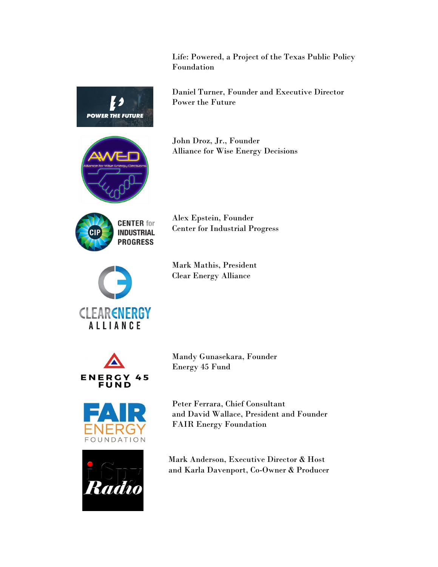Life: Powered, a Project of the Texas Public Policy Foundation



Daniel Turner, Founder and Executive Director Power the Future

John Droz, Jr., Founder Alliance for Wise Energy Decisions



Alex Epstein, Founder Center for Industrial Progress



Mark Mathis, President Clear Energy Alliance





Mandy Gunasekara, Founder Energy 45 Fund

Peter Ferrara, Chief Consultant and David Wallace, President and Founder FAIR Energy Foundation



Mark Anderson, Executive Director & Host and Karla Davenport, Co-Owner & Producer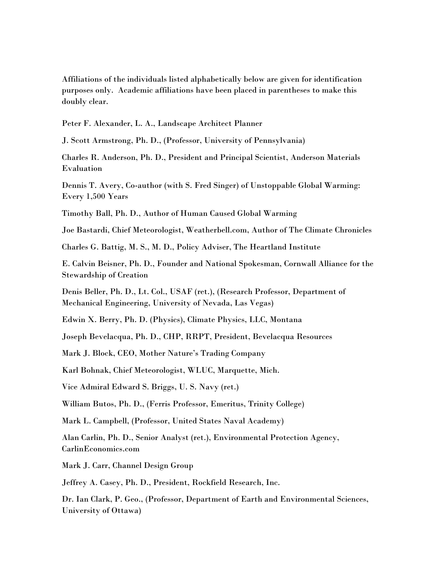Affiliations of the individuals listed alphabetically below are given for identification purposes only. Academic affiliations have been placed in parentheses to make this doubly clear.

Peter F. Alexander, L. A., Landscape Architect Planner

J. Scott Armstrong, Ph. D., (Professor, University of Pennsylvania)

Charles R. Anderson, Ph. D., President and Principal Scientist, Anderson Materials Evaluation

Dennis T. Avery, Co-author (with S. Fred Singer) of Unstoppable Global Warming: Every 1,500 Years

Timothy Ball, Ph. D., Author of Human Caused Global Warming

Joe Bastardi, Chief Meteorologist, Weatherbell.com, Author of The Climate Chronicles

Charles G. Battig, M. S., M. D., Policy Adviser, The Heartland Institute

E. Calvin Beisner, Ph. D., Founder and National Spokesman, Cornwall Alliance for the Stewardship of Creation

Denis Beller, Ph. D., Lt. Col., USAF (ret.), (Research Professor, Department of Mechanical Engineering, University of Nevada, Las Vegas)

Edwin X. Berry, Ph. D. (Physics), Climate Physics, LLC, Montana

Joseph Bevelacqua, Ph. D., CHP, RRPT, President, Bevelacqua Resources

Mark J. Block, CEO, Mother Nature's Trading Company

Karl Bohnak, Chief Meteorologist, WLUC, Marquette, Mich.

Vice Admiral Edward S. Briggs, U. S. Navy (ret.)

William Butos, Ph. D., (Ferris Professor, Emeritus, Trinity College)

Mark L. Campbell, (Professor, United States Naval Academy)

Alan Carlin, Ph. D., Senior Analyst (ret.), Environmental Protection Agency, CarlinEconomics.com

Mark J. Carr, Channel Design Group

Jeffrey A. Casey, Ph. D., President, Rockfield Research, Inc.

Dr. Ian Clark, P. Geo., (Professor, Department of Earth and Environmental Sciences, University of Ottawa)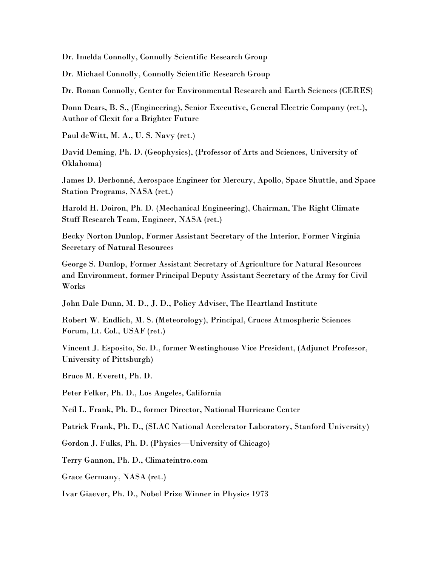Dr. Imelda Connolly, Connolly Scientific Research Group

Dr. Michael Connolly, Connolly Scientific Research Group

Dr. Ronan Connolly, Center for Environmental Research and Earth Sciences (CERES)

Donn Dears, B. S., (Engineering), Senior Executive, General Electric Company (ret.), Author of Clexit for a Brighter Future

Paul deWitt, M. A., U. S. Navy (ret.)

David Deming, Ph. D. (Geophysics), (Professor of Arts and Sciences, University of Oklahoma)

James D. Derbonné, Aerospace Engineer for Mercury, Apollo, Space Shuttle, and Space Station Programs, NASA (ret.)

Harold H. Doiron, Ph. D. (Mechanical Engineering), Chairman, The Right Climate Stuff Research Team, Engineer, NASA (ret.)

Becky Norton Dunlop, Former Assistant Secretary of the Interior, Former Virginia Secretary of Natural Resources

George S. Dunlop, Former Assistant Secretary of Agriculture for Natural Resources and Environment, former Principal Deputy Assistant Secretary of the Army for Civil Works

John Dale Dunn, M. D., J. D., Policy Adviser, The Heartland Institute

Robert W. Endlich, M. S. (Meteorology), Principal, Cruces Atmospheric Sciences Forum, Lt. Col., USAF (ret.)

Vincent J. Esposito, Sc. D., former Westinghouse Vice President, (Adjunct Professor, University of Pittsburgh)

Bruce M. Everett, Ph. D.

Peter Felker, Ph. D., Los Angeles, California

Neil L. Frank, Ph. D., former Director, National Hurricane Center

Patrick Frank, Ph. D., (SLAC National Accelerator Laboratory, Stanford University)

Gordon J. Fulks, Ph. D. (Physics—University of Chicago)

Terry Gannon, Ph. D., Climateintro.com

Grace Germany, NASA (ret.)

Ivar Giaever, Ph. D., Nobel Prize Winner in Physics 1973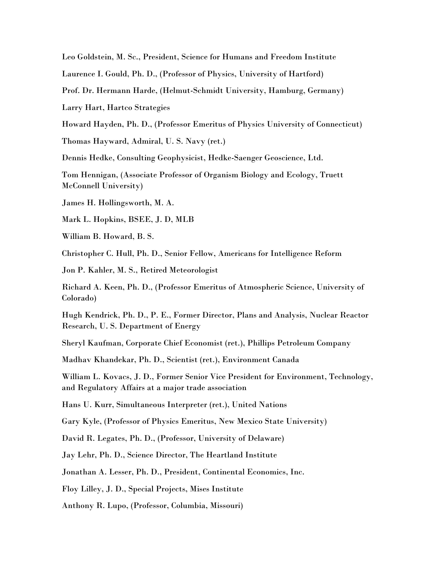Leo Goldstein, M. Sc., President, Science for Humans and Freedom Institute

Laurence I. Gould, Ph. D., (Professor of Physics, University of Hartford)

Prof. Dr. Hermann Harde, (Helmut-Schmidt University, Hamburg, Germany)

Larry Hart, Hartco Strategies

Howard Hayden, Ph. D., (Professor Emeritus of Physics University of Connecticut)

Thomas Hayward, Admiral, U. S. Navy (ret.)

Dennis Hedke, Consulting Geophysicist, Hedke-Saenger Geoscience, Ltd.

Tom Hennigan, (Associate Professor of Organism Biology and Ecology, Truett McConnell University)

James H. Hollingsworth, M. A.

Mark L. Hopkins, BSEE, J. D, MLB

William B. Howard, B. S.

Christopher C. Hull, Ph. D., Senior Fellow, Americans for Intelligence Reform

Jon P. Kahler, M. S., Retired Meteorologist

Richard A. Keen, Ph. D., (Professor Emeritus of Atmospheric Science, University of Colorado)

Hugh Kendrick, Ph. D., P. E., Former Director, Plans and Analysis, Nuclear Reactor Research, U. S. Department of Energy

Sheryl Kaufman, Corporate Chief Economist (ret.), Phillips Petroleum Company

Madhav Khandekar, Ph. D., Scientist (ret.), Environment Canada

William L. Kovacs, J. D., Former Senior Vice President for Environment, Technology, and Regulatory Affairs at a major trade association

Hans U. Kurr, Simultaneous Interpreter (ret.), United Nations

Gary Kyle, (Professor of Physics Emeritus, New Mexico State University)

David R. Legates, Ph. D., (Professor, University of Delaware)

Jay Lehr, Ph. D., Science Director, The Heartland Institute

Jonathan A. Lesser, Ph. D., President, Continental Economics, Inc.

Floy Lilley, J. D., Special Projects, Mises Institute

Anthony R. Lupo, (Professor, Columbia, Missouri)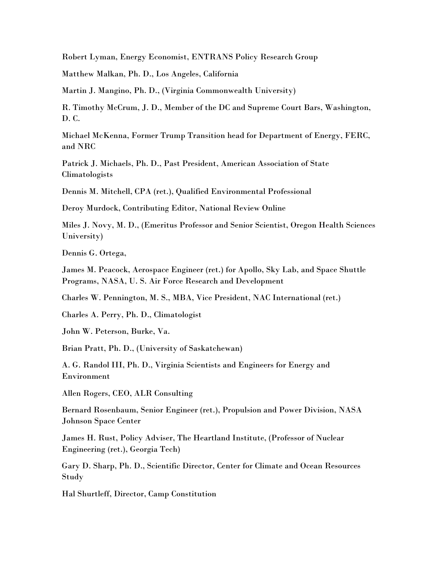Robert Lyman, Energy Economist, ENTRANS Policy Research Group

Matthew Malkan, Ph. D., Los Angeles, California

Martin J. Mangino, Ph. D., (Virginia Commonwealth University)

R. Timothy McCrum, J. D., Member of the DC and Supreme Court Bars, Washington, D. C.

Michael McKenna, Former Trump Transition head for Department of Energy, FERC, and NRC

Patrick J. Michaels, Ph. D., Past President, American Association of State Climatologists

Dennis M. Mitchell, CPA (ret.), Qualified Environmental Professional

Deroy Murdock, Contributing Editor, National Review Online

Miles J. Novy, M. D., (Emeritus Professor and Senior Scientist, Oregon Health Sciences University)

Dennis G. Ortega,

James M. Peacock, Aerospace Engineer (ret.) for Apollo, Sky Lab, and Space Shuttle Programs, NASA, U. S. Air Force Research and Development

Charles W. Pennington, M. S., MBA, Vice President, NAC International (ret.)

Charles A. Perry, Ph. D., Climatologist

John W. Peterson, Burke, Va.

Brian Pratt, Ph. D., (University of Saskatchewan)

A. G. Randol III, Ph. D., Virginia Scientists and Engineers for Energy and Environment

Allen Rogers, CEO, ALR Consulting

Bernard Rosenbaum, Senior Engineer (ret.), Propulsion and Power Division, NASA Johnson Space Center

James H. Rust, Policy Adviser, The Heartland Institute, (Professor of Nuclear Engineering (ret.), Georgia Tech)

Gary D. Sharp, Ph. D., Scientific Director, Center for Climate and Ocean Resources Study

Hal Shurtleff, Director, Camp Constitution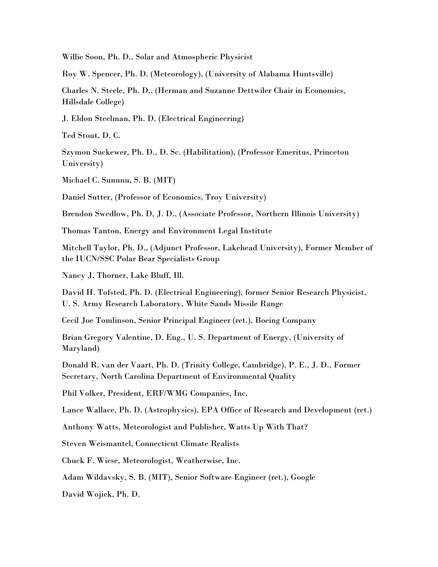Willie Soon, Ph. D., Solar and Atmospheric Physicist

Roy W. Spencer, Ph. D. (Meteorology), (University of Alabama Huntsville)

Charles N. Steele, Ph. D., (Herman and Suzanne Dettwiler Chair in Economics, Hillsdale College)

J. Eldon Steelman, Ph. D. (Electrical Engineering)

Ted Stout, D. C.

Szymon Suckewer, Ph. D., D. Sc. (Habilitation), (Professor Emeritus, Princeton University)

Michael C. Sununu, S. B. (MIT)

Daniel Sutter, (Professor of Economics, Troy University)

Brendon Swedlow, Ph. D, J. D., (Associate Professor, Northern Illinois University)

Thomas Tanton, Energy and Environment Legal Institute

Mitchell Taylor, Ph. D., (Adjunct Professor, Lakehead University), Former Member of the IUCN/SSC Polar Bear Specialists Group

Nancy J. Thorner, Lake Bluff, Ill.

David H. Tofsted, Ph. D. (Electrical Engineering), former Senior Research Physicist, U. S. Army Research Laboratory, White Sands Missile Range

Cecil Joe Tomlinson, Senior Principal Engineer (ret.), Boeing Company

Brian Gregory Valentine, D. Eng., U. S. Department of Energy, (University of Maryland)

Donald R. van der Vaart, Ph. D. (Trinity College, Cambridge), P. E., J. D., Former Secretary, North Carolina Department of Environmental Quality

Phil Volker, President, ERF/WMG Companies, Inc.

Lance Wallace, Ph. D. (Astrophysics), EPA Office of Research and Development (ret.)

Anthony Watts, Meteorologist and Publisher, Watts Up With That?

Steven Weismantel, Connecticut Climate Realists

Chuck F. Wiese, Meteorologist, Weatherwise, Inc.

Adam Wildavsky, S. B. (MIT), Senior Software Engineer (ret.), Google

David Wojick, Ph. D.